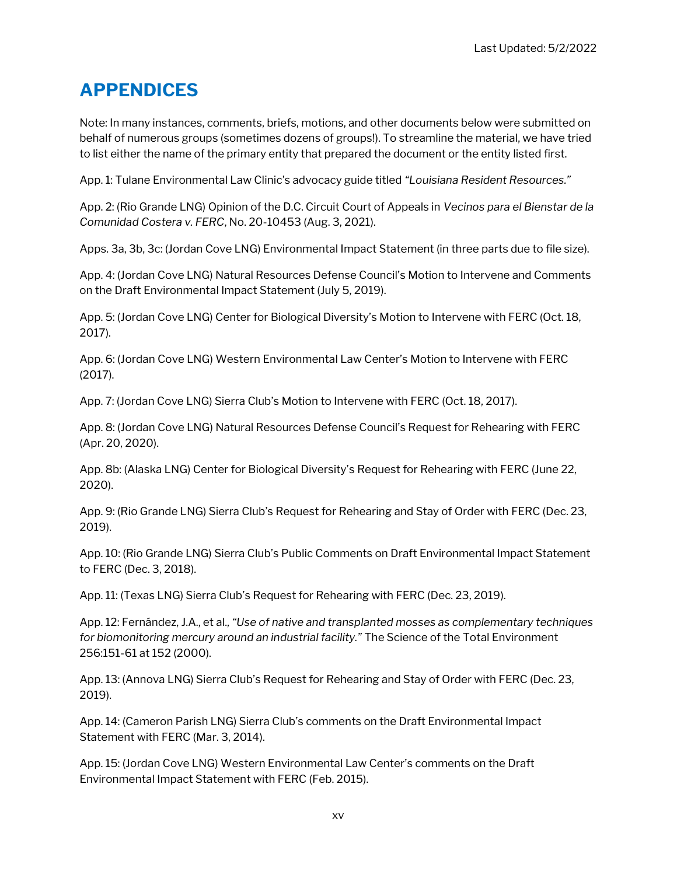## APPENDICES

Note: In many instances, comments, briefs, motions, and other documents below were submitted on behalf of numerous groups (sometimes dozens of groups!). To streamline the material, we have tried to list either the name of the primary entity that prepared the document or the entity listed first.

App. 1: Tulane Environmental Law Clinic's advocacy guide titled "Louisiana Resident Resources."

App. 2: (Rio Grande LNG) Opinion of the D.C. Circuit Court of Appeals in Vecinos para el Bienstar de la Comunidad Costera v. FERC, No. 20-10453 (Aug. 3, 2021).

Apps. 3a, 3b, 3c: (Jordan Cove LNG) Environmental Impact Statement (in three parts due to file size).

App. 4: (Jordan Cove LNG) Natural Resources Defense Council's Motion to Intervene and Comments on the Draft Environmental Impact Statement (July 5, 2019).

App. 5: (Jordan Cove LNG) Center for Biological Diversity's Motion to Intervene with FERC (Oct. 18, 2017).

App. 6: (Jordan Cove LNG) Western Environmental Law Center's Motion to Intervene with FERC (2017).

App. 7: (Jordan Cove LNG) Sierra Club's Motion to Intervene with FERC (Oct. 18, 2017).

App. 8: (Jordan Cove LNG) Natural Resources Defense Council's Request for Rehearing with FERC (Apr. 20, 2020).

App. 8b: (Alaska LNG) Center for Biological Diversity's Request for Rehearing with FERC (June 22, 2020).

App. 9: (Rio Grande LNG) Sierra Club's Request for Rehearing and Stay of Order with FERC (Dec. 23, 2019).

App. 10: (Rio Grande LNG) Sierra Club's Public Comments on Draft Environmental Impact Statement to FERC (Dec. 3, 2018).

App. 11: (Texas LNG) Sierra Club's Request for Rehearing with FERC (Dec. 23, 2019).

App. 12: Fernández, J.A., et al., "Use of native and transplanted mosses as complementary techniques for biomonitoring mercury around an industrial facility." The Science of the Total Environment 256:151-61 at 152 (2000).

App. 13: (Annova LNG) Sierra Club's Request for Rehearing and Stay of Order with FERC (Dec. 23, 2019).

App. 14: (Cameron Parish LNG) Sierra Club's comments on the Draft Environmental Impact Statement with FERC (Mar. 3, 2014).

App. 15: (Jordan Cove LNG) Western Environmental Law Center's comments on the Draft Environmental Impact Statement with FERC (Feb. 2015).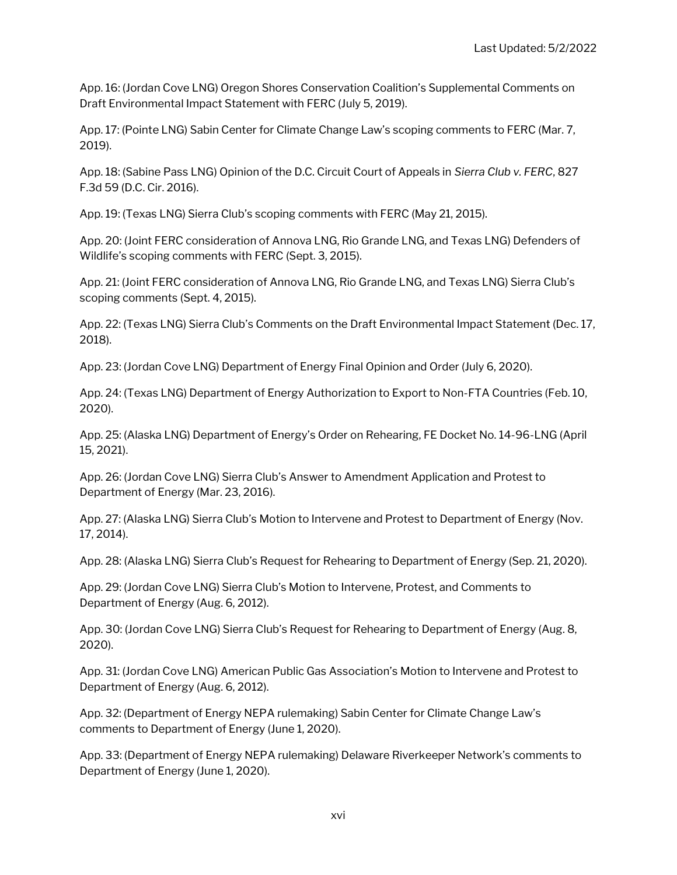App. 16: (Jordan Cove LNG) Oregon Shores Conservation Coalition's Supplemental Comments on Draft Environmental Impact Statement with FERC (July 5, 2019).

App. 17: (Pointe LNG) Sabin Center for Climate Change Law's scoping comments to FERC (Mar. 7, 2019).

App. 18: (Sabine Pass LNG) Opinion of the D.C. Circuit Court of Appeals in Sierra Club v. FERC, 827 F.3d 59 (D.C. Cir. 2016).

App. 19: (Texas LNG) Sierra Club's scoping comments with FERC (May 21, 2015).

App. 20: (Joint FERC consideration of Annova LNG, Rio Grande LNG, and Texas LNG) Defenders of Wildlife's scoping comments with FERC (Sept. 3, 2015).

App. 21: (Joint FERC consideration of Annova LNG, Rio Grande LNG, and Texas LNG) Sierra Club's scoping comments (Sept. 4, 2015).

App. 22: (Texas LNG) Sierra Club's Comments on the Draft Environmental Impact Statement (Dec. 17, 2018).

App. 23: (Jordan Cove LNG) Department of Energy Final Opinion and Order (July 6, 2020).

App. 24: (Texas LNG) Department of Energy Authorization to Export to Non-FTA Countries (Feb. 10, 2020).

App. 25: (Alaska LNG) Department of Energy's Order on Rehearing, FE Docket No. 14-96-LNG (April 15, 2021).

App. 26: (Jordan Cove LNG) Sierra Club's Answer to Amendment Application and Protest to Department of Energy (Mar. 23, 2016).

App. 27: (Alaska LNG) Sierra Club's Motion to Intervene and Protest to Department of Energy (Nov. 17, 2014).

App. 28: (Alaska LNG) Sierra Club's Request for Rehearing to Department of Energy (Sep. 21, 2020).

App. 29: (Jordan Cove LNG) Sierra Club's Motion to Intervene, Protest, and Comments to Department of Energy (Aug. 6, 2012).

App. 30: (Jordan Cove LNG) Sierra Club's Request for Rehearing to Department of Energy (Aug. 8, 2020).

App. 31: (Jordan Cove LNG) American Public Gas Association's Motion to Intervene and Protest to Department of Energy (Aug. 6, 2012).

App. 32: (Department of Energy NEPA rulemaking) Sabin Center for Climate Change Law's comments to Department of Energy (June 1, 2020).

App. 33: (Department of Energy NEPA rulemaking) Delaware Riverkeeper Network's comments to Department of Energy (June 1, 2020).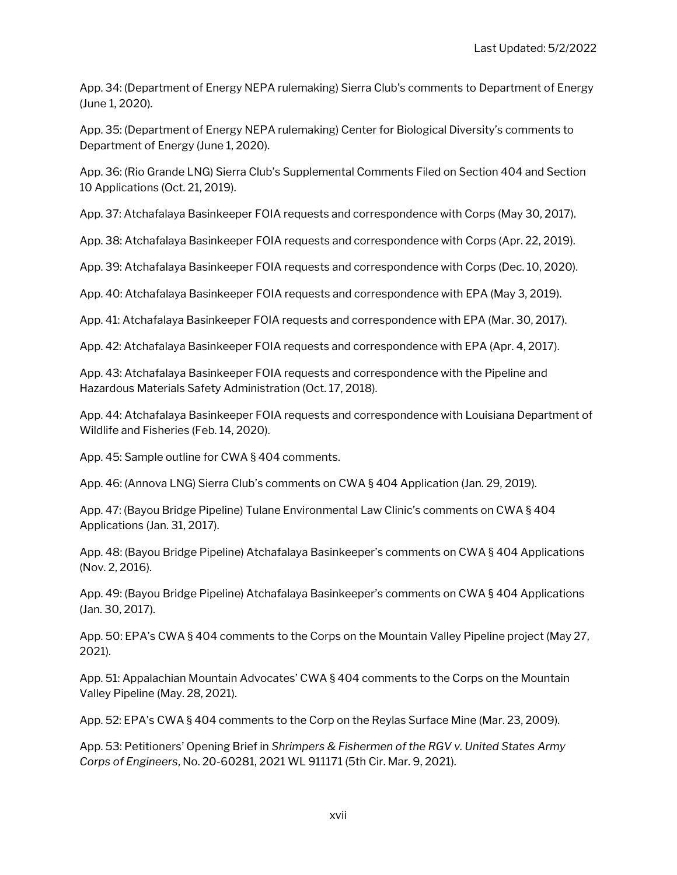App. 34: (Department of Energy NEPA rulemaking) Sierra Club's comments to Department of Energy (June 1, 2020).

App. 35: (Department of Energy NEPA rulemaking) Center for Biological Diversity's comments to Department of Energy (June 1, 2020).

App. 36: (Rio Grande LNG) Sierra Club's Supplemental Comments Filed on Section 404 and Section 10 Applications (Oct. 21, 2019).

App. 37: Atchafalaya Basinkeeper FOIA requests and correspondence with Corps (May 30, 2017).

App. 38: Atchafalaya Basinkeeper FOIA requests and correspondence with Corps (Apr. 22, 2019).

App. 39: Atchafalaya Basinkeeper FOIA requests and correspondence with Corps (Dec. 10, 2020).

App. 40: Atchafalaya Basinkeeper FOIA requests and correspondence with EPA (May 3, 2019).

App. 41: Atchafalaya Basinkeeper FOIA requests and correspondence with EPA (Mar. 30, 2017).

App. 42: Atchafalaya Basinkeeper FOIA requests and correspondence with EPA (Apr. 4, 2017).

App. 43: Atchafalaya Basinkeeper FOIA requests and correspondence with the Pipeline and Hazardous Materials Safety Administration (Oct. 17, 2018).

App. 44: Atchafalaya Basinkeeper FOIA requests and correspondence with Louisiana Department of Wildlife and Fisheries (Feb. 14, 2020).

App. 45: Sample outline for CWA § 404 comments.

App. 46: (Annova LNG) Sierra Club's comments on CWA § 404 Application (Jan. 29, 2019).

App. 47: (Bayou Bridge Pipeline) Tulane Environmental Law Clinic's comments on CWA § 404 Applications (Jan. 31, 2017).

App. 48: (Bayou Bridge Pipeline) Atchafalaya Basinkeeper's comments on CWA § 404 Applications (Nov. 2, 2016).

App. 49: (Bayou Bridge Pipeline) Atchafalaya Basinkeeper's comments on CWA § 404 Applications (Jan. 30, 2017).

App. 50: EPA's CWA § 404 comments to the Corps on the Mountain Valley Pipeline project (May 27, 2021).

App. 51: Appalachian Mountain Advocates' CWA § 404 comments to the Corps on the Mountain Valley Pipeline (May. 28, 2021).

App. 52: EPA's CWA § 404 comments to the Corp on the Reylas Surface Mine (Mar. 23, 2009).

App. 53: Petitioners' Opening Brief in Shrimpers & Fishermen of the RGV v. United States Army Corps of Engineers, No. 20-60281, 2021 WL 911171 (5th Cir. Mar. 9, 2021).